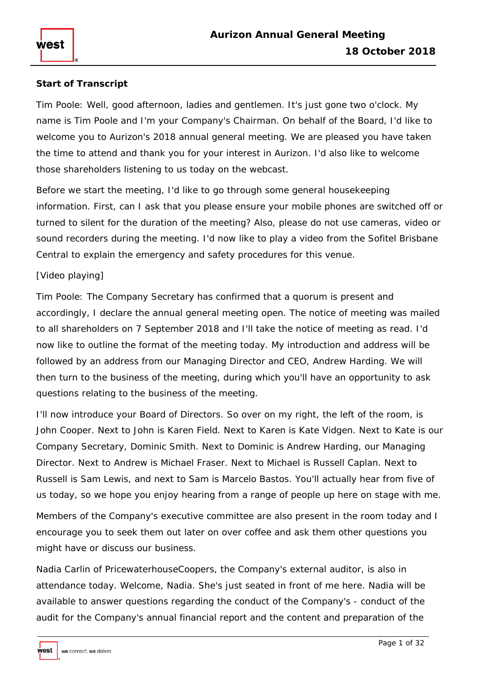# **Start of Transcript**

Tim Poole: Well, good afternoon, ladies and gentlemen. It's just gone two o'clock. My name is Tim Poole and I'm your Company's Chairman. On behalf of the Board, I'd like to welcome you to Aurizon's 2018 annual general meeting. We are pleased you have taken the time to attend and thank you for your interest in Aurizon. I'd also like to welcome those shareholders listening to us today on the webcast.

Before we start the meeting, I'd like to go through some general housekeeping information. First, can I ask that you please ensure your mobile phones are switched off or turned to silent for the duration of the meeting? Also, please do not use cameras, video or sound recorders during the meeting. I'd now like to play a video from the Sofitel Brisbane Central to explain the emergency and safety procedures for this venue.

## [Video playing]

Tim Poole: The Company Secretary has confirmed that a quorum is present and accordingly, I declare the annual general meeting open. The notice of meeting was mailed to all shareholders on 7 September 2018 and I'll take the notice of meeting as read. I'd now like to outline the format of the meeting today. My introduction and address will be followed by an address from our Managing Director and CEO, Andrew Harding. We will then turn to the business of the meeting, during which you'll have an opportunity to ask questions relating to the business of the meeting.

I'll now introduce your Board of Directors. So over on my right, the left of the room, is John Cooper. Next to John is Karen Field. Next to Karen is Kate Vidgen. Next to Kate is our Company Secretary, Dominic Smith. Next to Dominic is Andrew Harding, our Managing Director. Next to Andrew is Michael Fraser. Next to Michael is Russell Caplan. Next to Russell is Sam Lewis, and next to Sam is Marcelo Bastos. You'll actually hear from five of us today, so we hope you enjoy hearing from a range of people up here on stage with me.

Members of the Company's executive committee are also present in the room today and I encourage you to seek them out later on over coffee and ask them other questions you might have or discuss our business.

Nadia Carlin of PricewaterhouseCoopers, the Company's external auditor, is also in attendance today. Welcome, Nadia. She's just seated in front of me here. Nadia will be available to answer questions regarding the conduct of the Company's - conduct of the audit for the Company's annual financial report and the content and preparation of the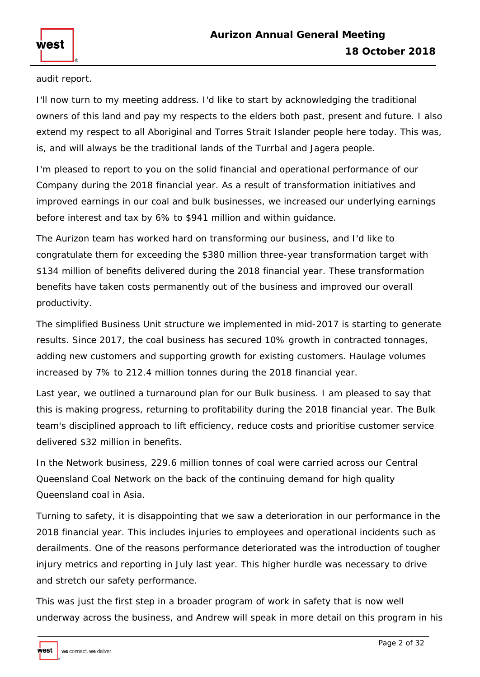audit report.

I'll now turn to my meeting address. I'd like to start by acknowledging the traditional owners of this land and pay my respects to the elders both past, present and future. I also extend my respect to all Aboriginal and Torres Strait Islander people here today. This was, is, and will always be the traditional lands of the Turrbal and Jagera people.

I'm pleased to report to you on the solid financial and operational performance of our Company during the 2018 financial year. As a result of transformation initiatives and improved earnings in our coal and bulk businesses, we increased our underlying earnings before interest and tax by 6% to \$941 million and within guidance.

The Aurizon team has worked hard on transforming our business, and I'd like to congratulate them for exceeding the \$380 million three-year transformation target with \$134 million of benefits delivered during the 2018 financial year. These transformation benefits have taken costs permanently out of the business and improved our overall productivity.

The simplified Business Unit structure we implemented in mid-2017 is starting to generate results. Since 2017, the coal business has secured 10% growth in contracted tonnages, adding new customers and supporting growth for existing customers. Haulage volumes increased by 7% to 212.4 million tonnes during the 2018 financial year.

Last year, we outlined a turnaround plan for our Bulk business. I am pleased to say that this is making progress, returning to profitability during the 2018 financial year. The Bulk team's disciplined approach to lift efficiency, reduce costs and prioritise customer service delivered \$32 million in benefits.

In the Network business, 229.6 million tonnes of coal were carried across our Central Queensland Coal Network on the back of the continuing demand for high quality Queensland coal in Asia.

Turning to safety, it is disappointing that we saw a deterioration in our performance in the 2018 financial year. This includes injuries to employees and operational incidents such as derailments. One of the reasons performance deteriorated was the introduction of tougher injury metrics and reporting in July last year. This higher hurdle was necessary to drive and stretch our safety performance.

This was just the first step in a broader program of work in safety that is now well underway across the business, and Andrew will speak in more detail on this program in his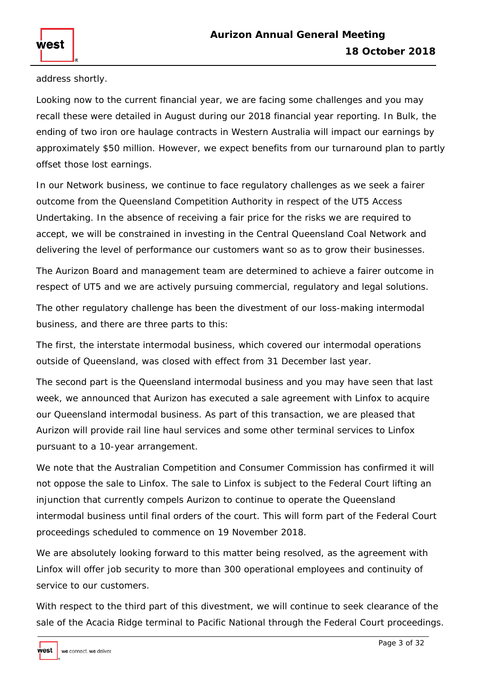address shortly.

west

Looking now to the current financial year, we are facing some challenges and you may recall these were detailed in August during our 2018 financial year reporting. In Bulk, the ending of two iron ore haulage contracts in Western Australia will impact our earnings by approximately \$50 million. However, we expect benefits from our turnaround plan to partly offset those lost earnings.

In our Network business, we continue to face regulatory challenges as we seek a fairer outcome from the Queensland Competition Authority in respect of the UT5 Access Undertaking. In the absence of receiving a fair price for the risks we are required to accept, we will be constrained in investing in the Central Queensland Coal Network and delivering the level of performance our customers want so as to grow their businesses.

The Aurizon Board and management team are determined to achieve a fairer outcome in respect of UT5 and we are actively pursuing commercial, regulatory and legal solutions.

The other regulatory challenge has been the divestment of our loss-making intermodal business, and there are three parts to this:

The first, the interstate intermodal business, which covered our intermodal operations outside of Queensland, was closed with effect from 31 December last year.

The second part is the Queensland intermodal business and you may have seen that last week, we announced that Aurizon has executed a sale agreement with Linfox to acquire our Queensland intermodal business. As part of this transaction, we are pleased that Aurizon will provide rail line haul services and some other terminal services to Linfox pursuant to a 10-year arrangement.

We note that the Australian Competition and Consumer Commission has confirmed it will not oppose the sale to Linfox. The sale to Linfox is subject to the Federal Court lifting an injunction that currently compels Aurizon to continue to operate the Queensland intermodal business until final orders of the court. This will form part of the Federal Court proceedings scheduled to commence on 19 November 2018.

We are absolutely looking forward to this matter being resolved, as the agreement with Linfox will offer job security to more than 300 operational employees and continuity of service to our customers.

With respect to the third part of this divestment, we will continue to seek clearance of the sale of the Acacia Ridge terminal to Pacific National through the Federal Court proceedings.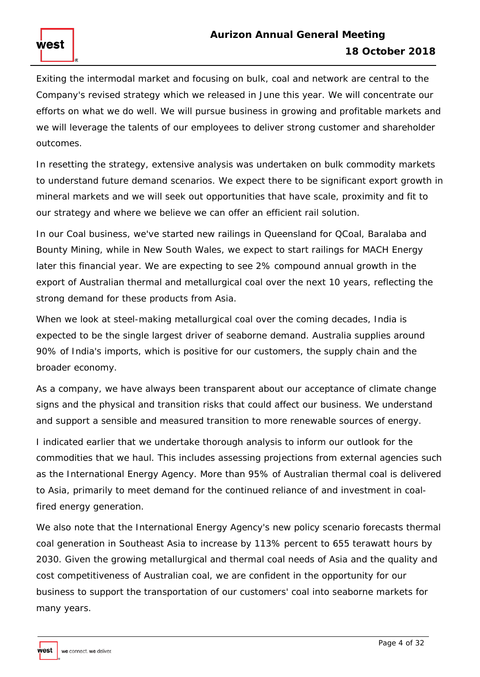Exiting the intermodal market and focusing on bulk, coal and network are central to the Company's revised strategy which we released in June this year. We will concentrate our efforts on what we do well. We will pursue business in growing and profitable markets and we will leverage the talents of our employees to deliver strong customer and shareholder outcomes.

In resetting the strategy, extensive analysis was undertaken on bulk commodity markets to understand future demand scenarios. We expect there to be significant export growth in mineral markets and we will seek out opportunities that have scale, proximity and fit to our strategy and where we believe we can offer an efficient rail solution.

In our Coal business, we've started new railings in Queensland for QCoal, Baralaba and Bounty Mining, while in New South Wales, we expect to start railings for MACH Energy later this financial year. We are expecting to see 2% compound annual growth in the export of Australian thermal and metallurgical coal over the next 10 years, reflecting the strong demand for these products from Asia.

When we look at steel-making metallurgical coal over the coming decades, India is expected to be the single largest driver of seaborne demand. Australia supplies around 90% of India's imports, which is positive for our customers, the supply chain and the broader economy.

As a company, we have always been transparent about our acceptance of climate change signs and the physical and transition risks that could affect our business. We understand and support a sensible and measured transition to more renewable sources of energy.

I indicated earlier that we undertake thorough analysis to inform our outlook for the commodities that we haul. This includes assessing projections from external agencies such as the International Energy Agency. More than 95% of Australian thermal coal is delivered to Asia, primarily to meet demand for the continued reliance of and investment in coalfired energy generation.

We also note that the International Energy Agency's new policy scenario forecasts thermal coal generation in Southeast Asia to increase by 113% percent to 655 terawatt hours by 2030. Given the growing metallurgical and thermal coal needs of Asia and the quality and cost competitiveness of Australian coal, we are confident in the opportunity for our business to support the transportation of our customers' coal into seaborne markets for many years.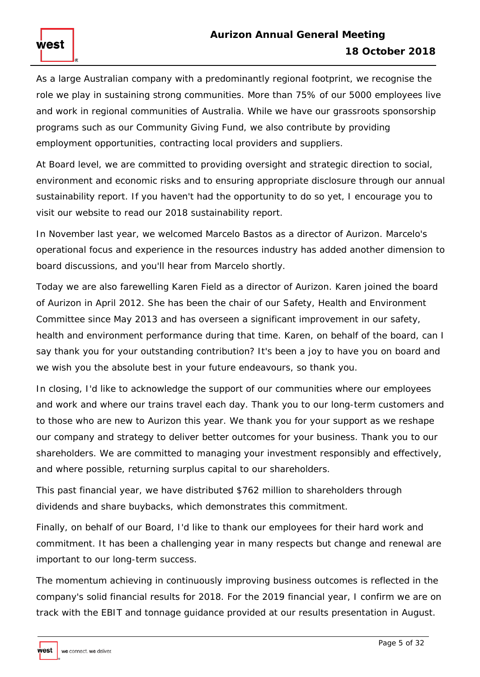As a large Australian company with a predominantly regional footprint, we recognise the role we play in sustaining strong communities. More than 75% of our 5000 employees live and work in regional communities of Australia. While we have our grassroots sponsorship programs such as our Community Giving Fund, we also contribute by providing employment opportunities, contracting local providers and suppliers.

At Board level, we are committed to providing oversight and strategic direction to social, environment and economic risks and to ensuring appropriate disclosure through our annual sustainability report. If you haven't had the opportunity to do so yet, I encourage you to visit our website to read our 2018 sustainability report.

In November last year, we welcomed Marcelo Bastos as a director of Aurizon. Marcelo's operational focus and experience in the resources industry has added another dimension to board discussions, and you'll hear from Marcelo shortly.

Today we are also farewelling Karen Field as a director of Aurizon. Karen joined the board of Aurizon in April 2012. She has been the chair of our Safety, Health and Environment Committee since May 2013 and has overseen a significant improvement in our safety, health and environment performance during that time. Karen, on behalf of the board, can I say thank you for your outstanding contribution? It's been a joy to have you on board and we wish you the absolute best in your future endeavours, so thank you.

In closing, I'd like to acknowledge the support of our communities where our employees and work and where our trains travel each day. Thank you to our long-term customers and to those who are new to Aurizon this year. We thank you for your support as we reshape our company and strategy to deliver better outcomes for your business. Thank you to our shareholders. We are committed to managing your investment responsibly and effectively, and where possible, returning surplus capital to our shareholders.

This past financial year, we have distributed \$762 million to shareholders through dividends and share buybacks, which demonstrates this commitment.

Finally, on behalf of our Board, I'd like to thank our employees for their hard work and commitment. It has been a challenging year in many respects but change and renewal are important to our long-term success.

The momentum achieving in continuously improving business outcomes is reflected in the company's solid financial results for 2018. For the 2019 financial year, I confirm we are on track with the EBIT and tonnage guidance provided at our results presentation in August.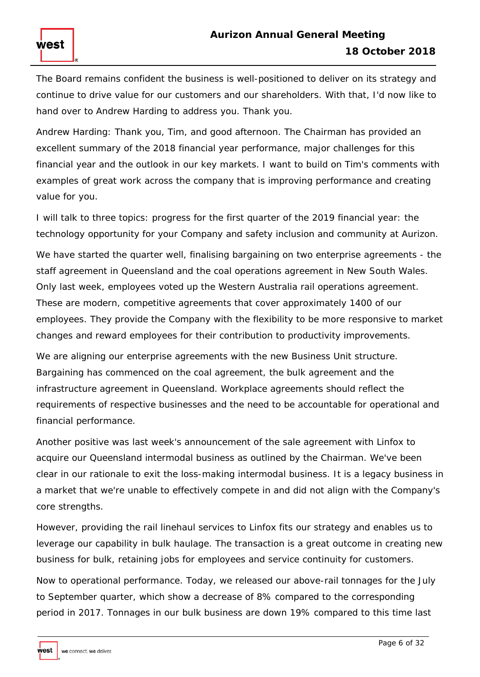The Board remains confident the business is well-positioned to deliver on its strategy and continue to drive value for our customers and our shareholders. With that, I'd now like to hand over to Andrew Harding to address you. Thank you.

Andrew Harding: Thank you, Tim, and good afternoon. The Chairman has provided an excellent summary of the 2018 financial year performance, major challenges for this financial year and the outlook in our key markets. I want to build on Tim's comments with examples of great work across the company that is improving performance and creating value for you.

I will talk to three topics: progress for the first quarter of the 2019 financial year: the technology opportunity for your Company and safety inclusion and community at Aurizon.

We have started the quarter well, finalising bargaining on two enterprise agreements - the staff agreement in Queensland and the coal operations agreement in New South Wales. Only last week, employees voted up the Western Australia rail operations agreement. These are modern, competitive agreements that cover approximately 1400 of our employees. They provide the Company with the flexibility to be more responsive to market changes and reward employees for their contribution to productivity improvements.

We are aligning our enterprise agreements with the new Business Unit structure. Bargaining has commenced on the coal agreement, the bulk agreement and the infrastructure agreement in Queensland. Workplace agreements should reflect the requirements of respective businesses and the need to be accountable for operational and financial performance.

Another positive was last week's announcement of the sale agreement with Linfox to acquire our Queensland intermodal business as outlined by the Chairman. We've been clear in our rationale to exit the loss-making intermodal business. It is a legacy business in a market that we're unable to effectively compete in and did not align with the Company's core strengths.

However, providing the rail linehaul services to Linfox fits our strategy and enables us to leverage our capability in bulk haulage. The transaction is a great outcome in creating new business for bulk, retaining jobs for employees and service continuity for customers.

Now to operational performance. Today, we released our above-rail tonnages for the July to September quarter, which show a decrease of 8% compared to the corresponding period in 2017. Tonnages in our bulk business are down 19% compared to this time last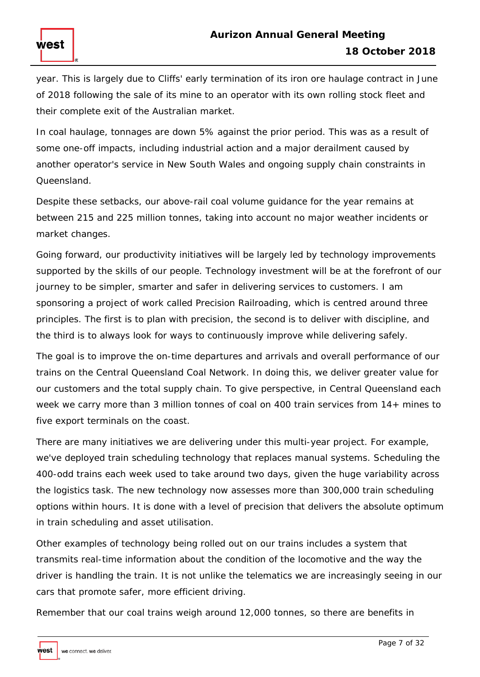year. This is largely due to Cliffs' early termination of its iron ore haulage contract in June of 2018 following the sale of its mine to an operator with its own rolling stock fleet and their complete exit of the Australian market.

In coal haulage, tonnages are down 5% against the prior period. This was as a result of some one-off impacts, including industrial action and a major derailment caused by another operator's service in New South Wales and ongoing supply chain constraints in Queensland.

Despite these setbacks, our above-rail coal volume guidance for the year remains at between 215 and 225 million tonnes, taking into account no major weather incidents or market changes.

Going forward, our productivity initiatives will be largely led by technology improvements supported by the skills of our people. Technology investment will be at the forefront of our journey to be simpler, smarter and safer in delivering services to customers. I am sponsoring a project of work called Precision Railroading, which is centred around three principles. The first is to plan with precision, the second is to deliver with discipline, and the third is to always look for ways to continuously improve while delivering safely.

The goal is to improve the on-time departures and arrivals and overall performance of our trains on the Central Queensland Coal Network. In doing this, we deliver greater value for our customers and the total supply chain. To give perspective, in Central Queensland each week we carry more than 3 million tonnes of coal on 400 train services from 14+ mines to five export terminals on the coast.

There are many initiatives we are delivering under this multi-year project. For example, we've deployed train scheduling technology that replaces manual systems. Scheduling the 400-odd trains each week used to take around two days, given the huge variability across the logistics task. The new technology now assesses more than 300,000 train scheduling options within hours. It is done with a level of precision that delivers the absolute optimum in train scheduling and asset utilisation.

Other examples of technology being rolled out on our trains includes a system that transmits real-time information about the condition of the locomotive and the way the driver is handling the train. It is not unlike the telematics we are increasingly seeing in our cars that promote safer, more efficient driving.

Remember that our coal trains weigh around 12,000 tonnes, so there are benefits in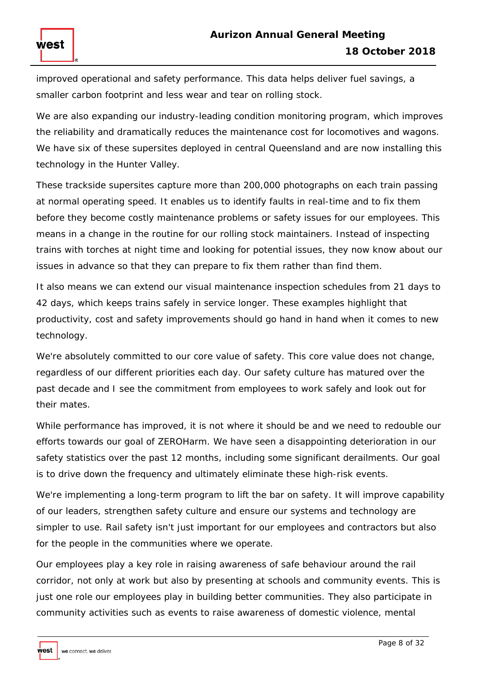improved operational and safety performance. This data helps deliver fuel savings, a smaller carbon footprint and less wear and tear on rolling stock.

We are also expanding our industry-leading condition monitoring program, which improves the reliability and dramatically reduces the maintenance cost for locomotives and wagons. We have six of these supersites deployed in central Queensland and are now installing this technology in the Hunter Valley.

These trackside supersites capture more than 200,000 photographs on each train passing at normal operating speed. It enables us to identify faults in real-time and to fix them before they become costly maintenance problems or safety issues for our employees. This means in a change in the routine for our rolling stock maintainers. Instead of inspecting trains with torches at night time and looking for potential issues, they now know about our issues in advance so that they can prepare to fix them rather than find them.

It also means we can extend our visual maintenance inspection schedules from 21 days to 42 days, which keeps trains safely in service longer. These examples highlight that productivity, cost and safety improvements should go hand in hand when it comes to new technology.

We're absolutely committed to our core value of safety. This core value does not change, regardless of our different priorities each day. Our safety culture has matured over the past decade and I see the commitment from employees to work safely and look out for their mates.

While performance has improved, it is not where it should be and we need to redouble our efforts towards our goal of ZEROHarm. We have seen a disappointing deterioration in our safety statistics over the past 12 months, including some significant derailments. Our goal is to drive down the frequency and ultimately eliminate these high-risk events.

We're implementing a long-term program to lift the bar on safety. It will improve capability of our leaders, strengthen safety culture and ensure our systems and technology are simpler to use. Rail safety isn't just important for our employees and contractors but also for the people in the communities where we operate.

Our employees play a key role in raising awareness of safe behaviour around the rail corridor, not only at work but also by presenting at schools and community events. This is just one role our employees play in building better communities. They also participate in community activities such as events to raise awareness of domestic violence, mental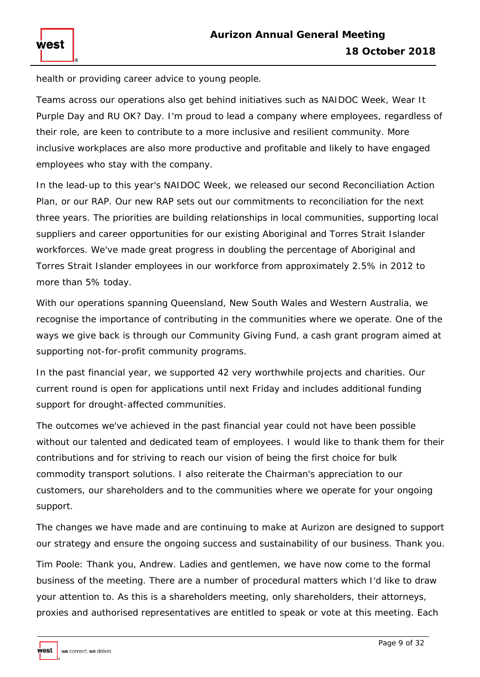health or providing career advice to young people.

west

Teams across our operations also get behind initiatives such as NAIDOC Week, Wear It Purple Day and RU OK? Day. I'm proud to lead a company where employees, regardless of their role, are keen to contribute to a more inclusive and resilient community. More inclusive workplaces are also more productive and profitable and likely to have engaged employees who stay with the company.

In the lead-up to this year's NAIDOC Week, we released our second Reconciliation Action Plan, or our RAP. Our new RAP sets out our commitments to reconciliation for the next three years. The priorities are building relationships in local communities, supporting local suppliers and career opportunities for our existing Aboriginal and Torres Strait Islander workforces. We've made great progress in doubling the percentage of Aboriginal and Torres Strait Islander employees in our workforce from approximately 2.5% in 2012 to more than 5% today.

With our operations spanning Queensland, New South Wales and Western Australia, we recognise the importance of contributing in the communities where we operate. One of the ways we give back is through our Community Giving Fund, a cash grant program aimed at supporting not-for-profit community programs.

In the past financial year, we supported 42 very worthwhile projects and charities. Our current round is open for applications until next Friday and includes additional funding support for drought-affected communities.

The outcomes we've achieved in the past financial year could not have been possible without our talented and dedicated team of employees. I would like to thank them for their contributions and for striving to reach our vision of being the first choice for bulk commodity transport solutions. I also reiterate the Chairman's appreciation to our customers, our shareholders and to the communities where we operate for your ongoing support.

The changes we have made and are continuing to make at Aurizon are designed to support our strategy and ensure the ongoing success and sustainability of our business. Thank you.

Tim Poole: Thank you, Andrew. Ladies and gentlemen, we have now come to the formal business of the meeting. There are a number of procedural matters which I'd like to draw your attention to. As this is a shareholders meeting, only shareholders, their attorneys, proxies and authorised representatives are entitled to speak or vote at this meeting. Each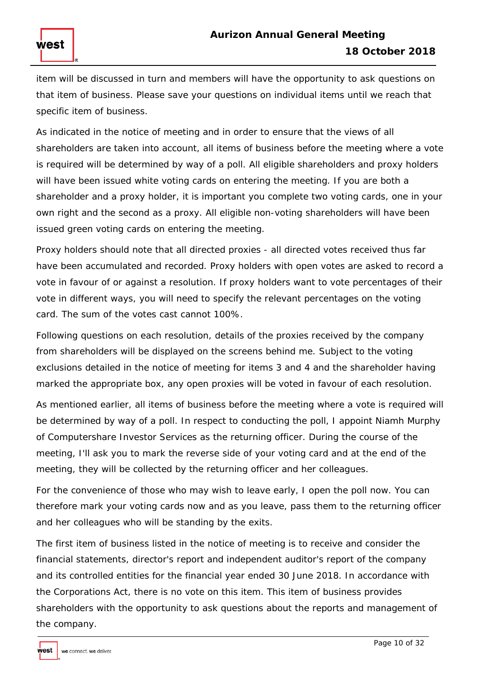# **Aurizon Annual General Meeting 18 October 2018**

item will be discussed in turn and members will have the opportunity to ask questions on that item of business. Please save your questions on individual items until we reach that specific item of business.

As indicated in the notice of meeting and in order to ensure that the views of all shareholders are taken into account, all items of business before the meeting where a vote is required will be determined by way of a poll. All eligible shareholders and proxy holders will have been issued white voting cards on entering the meeting. If you are both a shareholder and a proxy holder, it is important you complete two voting cards, one in your own right and the second as a proxy. All eligible non-voting shareholders will have been issued green voting cards on entering the meeting.

Proxy holders should note that all directed proxies - all directed votes received thus far have been accumulated and recorded. Proxy holders with open votes are asked to record a vote in favour of or against a resolution. If proxy holders want to vote percentages of their vote in different ways, you will need to specify the relevant percentages on the voting card. The sum of the votes cast cannot 100%.

Following questions on each resolution, details of the proxies received by the company from shareholders will be displayed on the screens behind me. Subject to the voting exclusions detailed in the notice of meeting for items 3 and 4 and the shareholder having marked the appropriate box, any open proxies will be voted in favour of each resolution.

As mentioned earlier, all items of business before the meeting where a vote is required will be determined by way of a poll. In respect to conducting the poll, I appoint Niamh Murphy of Computershare Investor Services as the returning officer. During the course of the meeting, I'll ask you to mark the reverse side of your voting card and at the end of the meeting, they will be collected by the returning officer and her colleagues.

For the convenience of those who may wish to leave early, I open the poll now. You can therefore mark your voting cards now and as you leave, pass them to the returning officer and her colleagues who will be standing by the exits.

The first item of business listed in the notice of meeting is to receive and consider the financial statements, director's report and independent auditor's report of the company and its controlled entities for the financial year ended 30 June 2018. In accordance with the Corporations Act, there is no vote on this item. This item of business provides shareholders with the opportunity to ask questions about the reports and management of the company.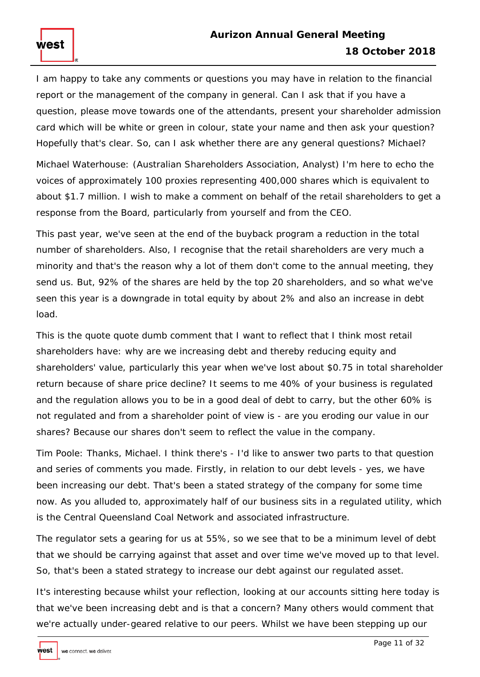I am happy to take any comments or questions you may have in relation to the financial report or the management of the company in general. Can I ask that if you have a question, please move towards one of the attendants, present your shareholder admission card which will be white or green in colour, state your name and then ask your question? Hopefully that's clear. So, can I ask whether there are any general questions? Michael?

Michael Waterhouse: (Australian Shareholders Association, Analyst) I'm here to echo the voices of approximately 100 proxies representing 400,000 shares which is equivalent to about \$1.7 million. I wish to make a comment on behalf of the retail shareholders to get a response from the Board, particularly from yourself and from the CEO.

This past year, we've seen at the end of the buyback program a reduction in the total number of shareholders. Also, I recognise that the retail shareholders are very much a minority and that's the reason why a lot of them don't come to the annual meeting, they send us. But, 92% of the shares are held by the top 20 shareholders, and so what we've seen this year is a downgrade in total equity by about 2% and also an increase in debt load.

This is the quote quote dumb comment that I want to reflect that I think most retail shareholders have: why are we increasing debt and thereby reducing equity and shareholders' value, particularly this year when we've lost about \$0.75 in total shareholder return because of share price decline? It seems to me 40% of your business is regulated and the regulation allows you to be in a good deal of debt to carry, but the other 60% is not regulated and from a shareholder point of view is - are you eroding our value in our shares? Because our shares don't seem to reflect the value in the company.

Tim Poole: Thanks, Michael. I think there's - I'd like to answer two parts to that question and series of comments you made. Firstly, in relation to our debt levels - yes, we have been increasing our debt. That's been a stated strategy of the company for some time now. As you alluded to, approximately half of our business sits in a regulated utility, which is the Central Queensland Coal Network and associated infrastructure.

The regulator sets a gearing for us at 55%, so we see that to be a minimum level of debt that we should be carrying against that asset and over time we've moved up to that level. So, that's been a stated strategy to increase our debt against our regulated asset.

It's interesting because whilst your reflection, looking at our accounts sitting here today is that we've been increasing debt and is that a concern? Many others would comment that we're actually under-geared relative to our peers. Whilst we have been stepping up our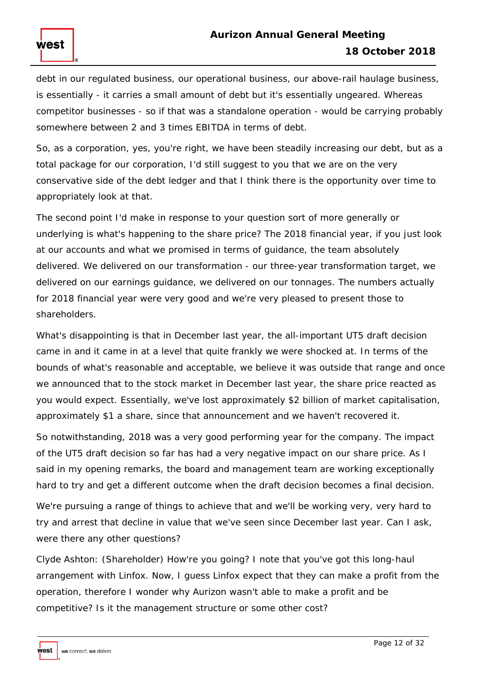debt in our regulated business, our operational business, our above-rail haulage business, is essentially - it carries a small amount of debt but it's essentially ungeared. Whereas competitor businesses - so if that was a standalone operation - would be carrying probably somewhere between 2 and 3 times EBITDA in terms of debt.

So, as a corporation, yes, you're right, we have been steadily increasing our debt, but as a total package for our corporation, I'd still suggest to you that we are on the very conservative side of the debt ledger and that I think there is the opportunity over time to appropriately look at that.

The second point I'd make in response to your question sort of more generally or underlying is what's happening to the share price? The 2018 financial year, if you just look at our accounts and what we promised in terms of guidance, the team absolutely delivered. We delivered on our transformation - our three-year transformation target, we delivered on our earnings guidance, we delivered on our tonnages. The numbers actually for 2018 financial year were very good and we're very pleased to present those to shareholders.

What's disappointing is that in December last year, the all-important UT5 draft decision came in and it came in at a level that quite frankly we were shocked at. In terms of the bounds of what's reasonable and acceptable, we believe it was outside that range and once we announced that to the stock market in December last year, the share price reacted as you would expect. Essentially, we've lost approximately \$2 billion of market capitalisation, approximately \$1 a share, since that announcement and we haven't recovered it.

So notwithstanding, 2018 was a very good performing year for the company. The impact of the UT5 draft decision so far has had a very negative impact on our share price. As I said in my opening remarks, the board and management team are working exceptionally hard to try and get a different outcome when the draft decision becomes a final decision.

We're pursuing a range of things to achieve that and we'll be working very, very hard to try and arrest that decline in value that we've seen since December last year. Can I ask, were there any other questions?

Clyde Ashton: (Shareholder) How're you going? I note that you've got this long-haul arrangement with Linfox. Now, I guess Linfox expect that they can make a profit from the operation, therefore I wonder why Aurizon wasn't able to make a profit and be competitive? Is it the management structure or some other cost?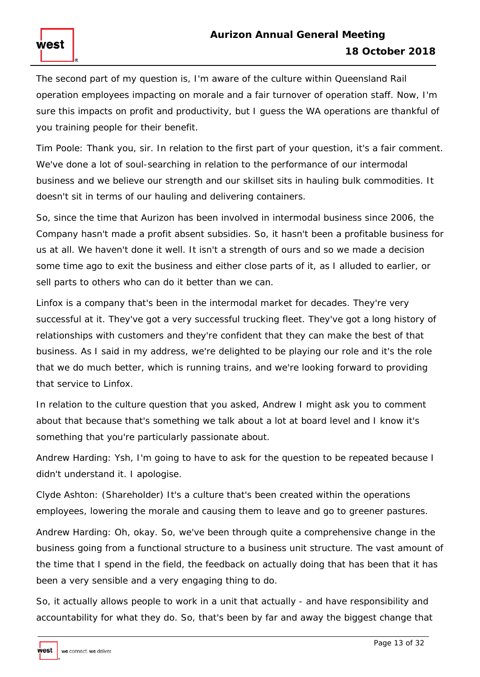The second part of my question is, I'm aware of the culture within Queensland Rail operation employees impacting on morale and a fair turnover of operation staff. Now, I'm sure this impacts on profit and productivity, but I guess the WA operations are thankful of you training people for their benefit.

Tim Poole: Thank you, sir. In relation to the first part of your question, it's a fair comment. We've done a lot of soul-searching in relation to the performance of our intermodal business and we believe our strength and our skillset sits in hauling bulk commodities. It doesn't sit in terms of our hauling and delivering containers.

So, since the time that Aurizon has been involved in intermodal business since 2006, the Company hasn't made a profit absent subsidies. So, it hasn't been a profitable business for us at all. We haven't done it well. It isn't a strength of ours and so we made a decision some time ago to exit the business and either close parts of it, as I alluded to earlier, or sell parts to others who can do it better than we can.

Linfox is a company that's been in the intermodal market for decades. They're very successful at it. They've got a very successful trucking fleet. They've got a long history of relationships with customers and they're confident that they can make the best of that business. As I said in my address, we're delighted to be playing our role and it's the role that we do much better, which is running trains, and we're looking forward to providing that service to Linfox.

In relation to the culture question that you asked, Andrew I might ask you to comment about that because that's something we talk about a lot at board level and I know it's something that you're particularly passionate about.

Andrew Harding: Ysh, I'm going to have to ask for the question to be repeated because I didn't understand it. I apologise.

Clyde Ashton: (Shareholder) It's a culture that's been created within the operations employees, lowering the morale and causing them to leave and go to greener pastures.

Andrew Harding: Oh, okay. So, we've been through quite a comprehensive change in the business going from a functional structure to a business unit structure. The vast amount of the time that I spend in the field, the feedback on actually doing that has been that it has been a very sensible and a very engaging thing to do.

So, it actually allows people to work in a unit that actually - and have responsibility and accountability for what they do. So, that's been by far and away the biggest change that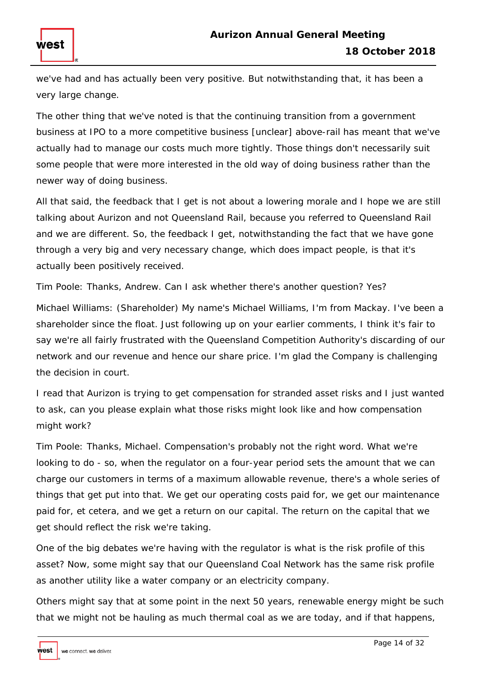

we've had and has actually been very positive. But notwithstanding that, it has been a very large change.

The other thing that we've noted is that the continuing transition from a government business at IPO to a more competitive business [unclear] above-rail has meant that we've actually had to manage our costs much more tightly. Those things don't necessarily suit some people that were more interested in the old way of doing business rather than the newer way of doing business.

All that said, the feedback that I get is not about a lowering morale and I hope we are still talking about Aurizon and not Queensland Rail, because you referred to Queensland Rail and we are different. So, the feedback I get, notwithstanding the fact that we have gone through a very big and very necessary change, which does impact people, is that it's actually been positively received.

Tim Poole: Thanks, Andrew. Can I ask whether there's another question? Yes?

Michael Williams: (Shareholder) My name's Michael Williams, I'm from Mackay. I've been a shareholder since the float. Just following up on your earlier comments, I think it's fair to say we're all fairly frustrated with the Queensland Competition Authority's discarding of our network and our revenue and hence our share price. I'm glad the Company is challenging the decision in court.

I read that Aurizon is trying to get compensation for stranded asset risks and I just wanted to ask, can you please explain what those risks might look like and how compensation might work?

Tim Poole: Thanks, Michael. Compensation's probably not the right word. What we're looking to do - so, when the regulator on a four-year period sets the amount that we can charge our customers in terms of a maximum allowable revenue, there's a whole series of things that get put into that. We get our operating costs paid for, we get our maintenance paid for, et cetera, and we get a return on our capital. The return on the capital that we get should reflect the risk we're taking.

One of the big debates we're having with the regulator is what is the risk profile of this asset? Now, some might say that our Queensland Coal Network has the same risk profile as another utility like a water company or an electricity company.

Others might say that at some point in the next 50 years, renewable energy might be such that we might not be hauling as much thermal coal as we are today, and if that happens,

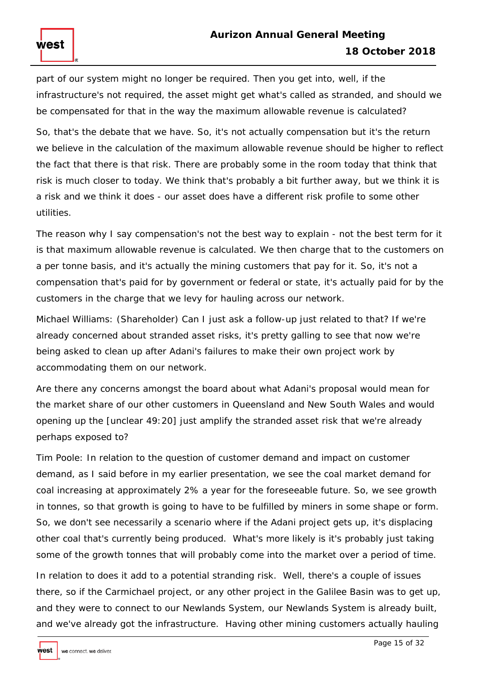part of our system might no longer be required. Then you get into, well, if the infrastructure's not required, the asset might get what's called as stranded, and should we be compensated for that in the way the maximum allowable revenue is calculated?

So, that's the debate that we have. So, it's not actually compensation but it's the return we believe in the calculation of the maximum allowable revenue should be higher to reflect the fact that there is that risk. There are probably some in the room today that think that risk is much closer to today. We think that's probably a bit further away, but we think it is a risk and we think it does - our asset does have a different risk profile to some other utilities.

The reason why I say compensation's not the best way to explain - not the best term for it is that maximum allowable revenue is calculated. We then charge that to the customers on a per tonne basis, and it's actually the mining customers that pay for it. So, it's not a compensation that's paid for by government or federal or state, it's actually paid for by the customers in the charge that we levy for hauling across our network.

Michael Williams: (Shareholder) Can I just ask a follow-up just related to that? If we're already concerned about stranded asset risks, it's pretty galling to see that now we're being asked to clean up after Adani's failures to make their own project work by accommodating them on our network.

Are there any concerns amongst the board about what Adani's proposal would mean for the market share of our other customers in Queensland and New South Wales and would opening up the [unclear 49:20] just amplify the stranded asset risk that we're already perhaps exposed to?

Tim Poole: In relation to the question of customer demand and impact on customer demand, as I said before in my earlier presentation, we see the coal market demand for coal increasing at approximately 2% a year for the foreseeable future. So, we see growth in tonnes, so that growth is going to have to be fulfilled by miners in some shape or form. So, we don't see necessarily a scenario where if the Adani project gets up, it's displacing other coal that's currently being produced. What's more likely is it's probably just taking some of the growth tonnes that will probably come into the market over a period of time.

In relation to does it add to a potential stranding risk. Well, there's a couple of issues there, so if the Carmichael project, or any other project in the Galilee Basin was to get up, and they were to connect to our Newlands System, our Newlands System is already built, and we've already got the infrastructure. Having other mining customers actually hauling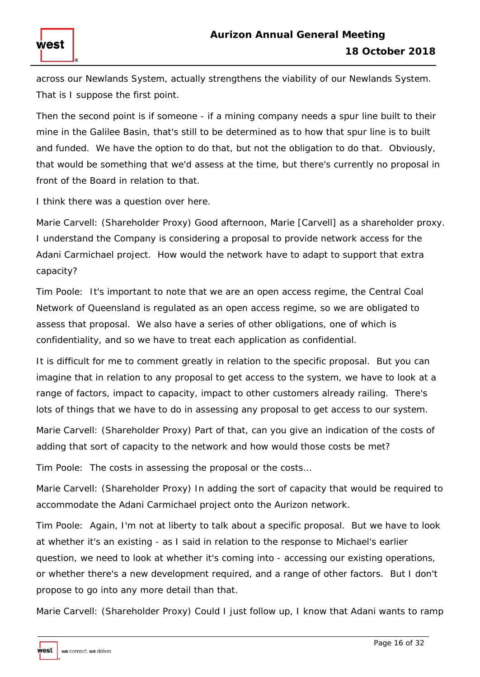across our Newlands System, actually strengthens the viability of our Newlands System. That is I suppose the first point.

Then the second point is if someone - if a mining company needs a spur line built to their mine in the Galilee Basin, that's still to be determined as to how that spur line is to built and funded. We have the option to do that, but not the obligation to do that. Obviously, that would be something that we'd assess at the time, but there's currently no proposal in front of the Board in relation to that.

I think there was a question over here.

west

Marie Carvell: (Shareholder Proxy) Good afternoon, Marie [Carvell] as a shareholder proxy. I understand the Company is considering a proposal to provide network access for the Adani Carmichael project. How would the network have to adapt to support that extra capacity?

Tim Poole: It's important to note that we are an open access regime, the Central Coal Network of Queensland is regulated as an open access regime, so we are obligated to assess that proposal. We also have a series of other obligations, one of which is confidentiality, and so we have to treat each application as confidential.

It is difficult for me to comment greatly in relation to the specific proposal. But you can imagine that in relation to any proposal to get access to the system, we have to look at a range of factors, impact to capacity, impact to other customers already railing. There's lots of things that we have to do in assessing any proposal to get access to our system.

Marie Carvell: (Shareholder Proxy) Part of that, can you give an indication of the costs of adding that sort of capacity to the network and how would those costs be met?

Tim Poole: The costs in assessing the proposal or the costs…

Marie Carvell: (Shareholder Proxy) In adding the sort of capacity that would be required to accommodate the Adani Carmichael project onto the Aurizon network.

Tim Poole: Again, I'm not at liberty to talk about a specific proposal. But we have to look at whether it's an existing - as I said in relation to the response to Michael's earlier question, we need to look at whether it's coming into - accessing our existing operations, or whether there's a new development required, and a range of other factors. But I don't propose to go into any more detail than that.

Marie Carvell: (Shareholder Proxy) Could I just follow up, I know that Adani wants to ramp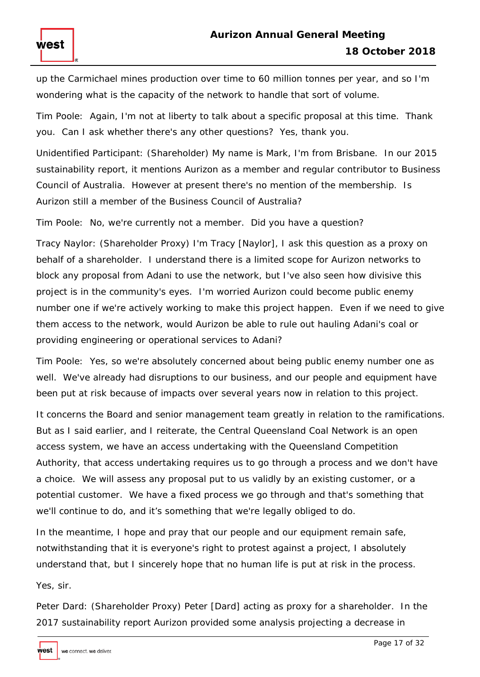up the Carmichael mines production over time to 60 million tonnes per year, and so I'm wondering what is the capacity of the network to handle that sort of volume.

Tim Poole: Again, I'm not at liberty to talk about a specific proposal at this time. Thank you. Can I ask whether there's any other questions? Yes, thank you.

Unidentified Participant: (Shareholder) My name is Mark, I'm from Brisbane. In our 2015 sustainability report, it mentions Aurizon as a member and regular contributor to Business Council of Australia. However at present there's no mention of the membership. Is Aurizon still a member of the Business Council of Australia?

Tim Poole: No, we're currently not a member. Did you have a question?

Tracy Naylor: (Shareholder Proxy) I'm Tracy [Naylor], I ask this question as a proxy on behalf of a shareholder. I understand there is a limited scope for Aurizon networks to block any proposal from Adani to use the network, but I've also seen how divisive this project is in the community's eyes. I'm worried Aurizon could become public enemy number one if we're actively working to make this project happen. Even if we need to give them access to the network, would Aurizon be able to rule out hauling Adani's coal or providing engineering or operational services to Adani?

Tim Poole: Yes, so we're absolutely concerned about being public enemy number one as well. We've already had disruptions to our business, and our people and equipment have been put at risk because of impacts over several years now in relation to this project.

It concerns the Board and senior management team greatly in relation to the ramifications. But as I said earlier, and I reiterate, the Central Queensland Coal Network is an open access system, we have an access undertaking with the Queensland Competition Authority, that access undertaking requires us to go through a process and we don't have a choice. We will assess any proposal put to us validly by an existing customer, or a potential customer. We have a fixed process we go through and that's something that we'll continue to do, and it's something that we're legally obliged to do.

In the meantime, I hope and pray that our people and our equipment remain safe, notwithstanding that it is everyone's right to protest against a project, I absolutely understand that, but I sincerely hope that no human life is put at risk in the process.

Yes, sir.

west

Peter Dard: (Shareholder Proxy) Peter [Dard] acting as proxy for a shareholder. In the 2017 sustainability report Aurizon provided some analysis projecting a decrease in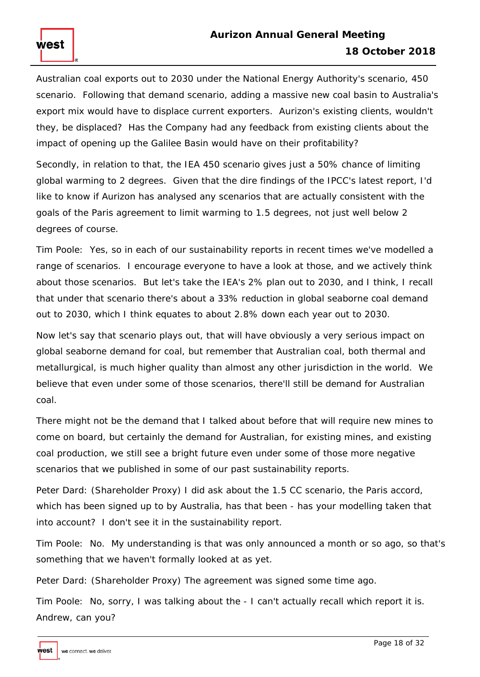Australian coal exports out to 2030 under the National Energy Authority's scenario, 450 scenario. Following that demand scenario, adding a massive new coal basin to Australia's export mix would have to displace current exporters. Aurizon's existing clients, wouldn't they, be displaced? Has the Company had any feedback from existing clients about the impact of opening up the Galilee Basin would have on their profitability?

Secondly, in relation to that, the IEA 450 scenario gives just a 50% chance of limiting global warming to 2 degrees. Given that the dire findings of the IPCC's latest report, I'd like to know if Aurizon has analysed any scenarios that are actually consistent with the goals of the Paris agreement to limit warming to 1.5 degrees, not just well below 2 degrees of course.

Tim Poole: Yes, so in each of our sustainability reports in recent times we've modelled a range of scenarios. I encourage everyone to have a look at those, and we actively think about those scenarios. But let's take the IEA's 2% plan out to 2030, and I think, I recall that under that scenario there's about a 33% reduction in global seaborne coal demand out to 2030, which I think equates to about 2.8% down each year out to 2030.

Now let's say that scenario plays out, that will have obviously a very serious impact on global seaborne demand for coal, but remember that Australian coal, both thermal and metallurgical, is much higher quality than almost any other jurisdiction in the world. We believe that even under some of those scenarios, there'll still be demand for Australian coal.

There might not be the demand that I talked about before that will require new mines to come on board, but certainly the demand for Australian, for existing mines, and existing coal production, we still see a bright future even under some of those more negative scenarios that we published in some of our past sustainability reports.

Peter Dard: (Shareholder Proxy) I did ask about the 1.5 CC scenario, the Paris accord, which has been signed up to by Australia, has that been - has your modelling taken that into account? I don't see it in the sustainability report.

Tim Poole: No. My understanding is that was only announced a month or so ago, so that's something that we haven't formally looked at as yet.

Peter Dard: (Shareholder Proxy) The agreement was signed some time ago.

Tim Poole: No, sorry, I was talking about the - I can't actually recall which report it is. Andrew, can you?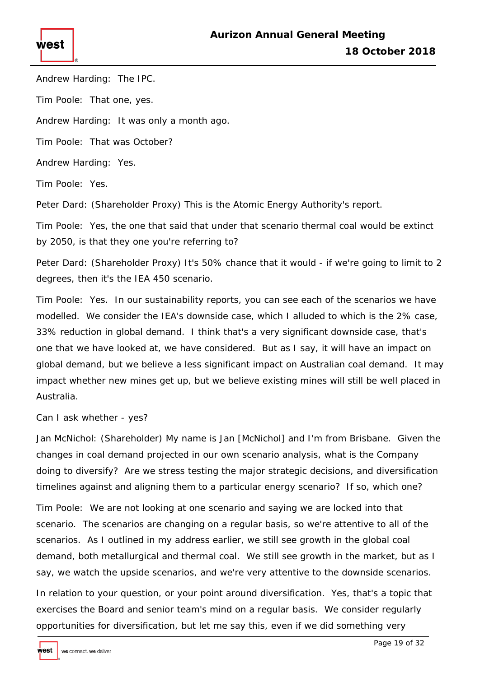

Andrew Harding: The IPC.

Tim Poole: That one, yes.

Andrew Harding: It was only a month ago.

Tim Poole: That was October?

Andrew Harding: Yes.

Tim Poole: Yes.

Peter Dard: (Shareholder Proxy) This is the Atomic Energy Authority's report.

Tim Poole: Yes, the one that said that under that scenario thermal coal would be extinct by 2050, is that they one you're referring to?

Peter Dard: (Shareholder Proxy) It's 50% chance that it would - if we're going to limit to 2 degrees, then it's the IEA 450 scenario.

Tim Poole: Yes. In our sustainability reports, you can see each of the scenarios we have modelled. We consider the IEA's downside case, which I alluded to which is the 2% case, 33% reduction in global demand. I think that's a very significant downside case, that's one that we have looked at, we have considered. But as I say, it will have an impact on global demand, but we believe a less significant impact on Australian coal demand. It may impact whether new mines get up, but we believe existing mines will still be well placed in Australia.

Can I ask whether - yes?

Jan McNichol: (Shareholder) My name is Jan [McNichol] and I'm from Brisbane. Given the changes in coal demand projected in our own scenario analysis, what is the Company doing to diversify? Are we stress testing the major strategic decisions, and diversification timelines against and aligning them to a particular energy scenario? If so, which one?

Tim Poole: We are not looking at one scenario and saying we are locked into that scenario. The scenarios are changing on a regular basis, so we're attentive to all of the scenarios. As I outlined in my address earlier, we still see growth in the global coal demand, both metallurgical and thermal coal. We still see growth in the market, but as I say, we watch the upside scenarios, and we're very attentive to the downside scenarios.

In relation to your question, or your point around diversification. Yes, that's a topic that exercises the Board and senior team's mind on a regular basis. We consider regularly opportunities for diversification, but let me say this, even if we did something very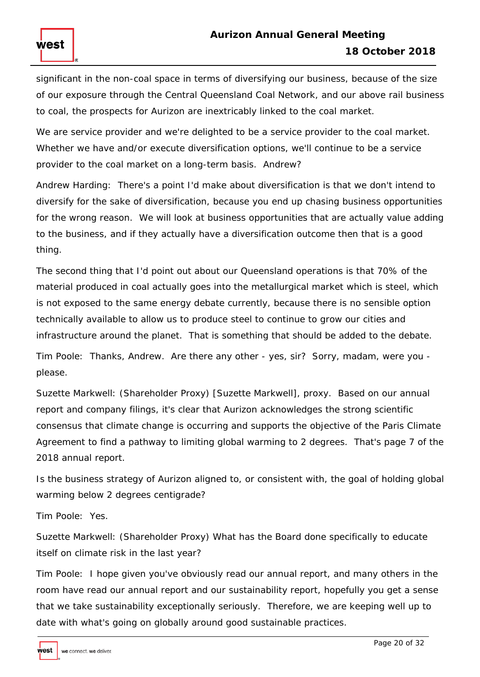significant in the non-coal space in terms of diversifying our business, because of the size of our exposure through the Central Queensland Coal Network, and our above rail business to coal, the prospects for Aurizon are inextricably linked to the coal market.

We are service provider and we're delighted to be a service provider to the coal market. Whether we have and/or execute diversification options, we'll continue to be a service provider to the coal market on a long-term basis. Andrew?

Andrew Harding: There's a point I'd make about diversification is that we don't intend to diversify for the sake of diversification, because you end up chasing business opportunities for the wrong reason. We will look at business opportunities that are actually value adding to the business, and if they actually have a diversification outcome then that is a good thing.

The second thing that I'd point out about our Queensland operations is that 70% of the material produced in coal actually goes into the metallurgical market which is steel, which is not exposed to the same energy debate currently, because there is no sensible option technically available to allow us to produce steel to continue to grow our cities and infrastructure around the planet. That is something that should be added to the debate.

Tim Poole: Thanks, Andrew. Are there any other - yes, sir? Sorry, madam, were you please.

Suzette Markwell: (Shareholder Proxy) [Suzette Markwell], proxy. Based on our annual report and company filings, it's clear that Aurizon acknowledges the strong scientific consensus that climate change is occurring and supports the objective of the Paris Climate Agreement to find a pathway to limiting global warming to 2 degrees. That's page 7 of the 2018 annual report.

Is the business strategy of Aurizon aligned to, or consistent with, the goal of holding global warming below 2 degrees centigrade?

Tim Poole: Yes.

west

Suzette Markwell: (Shareholder Proxy) What has the Board done specifically to educate itself on climate risk in the last year?

Tim Poole: I hope given you've obviously read our annual report, and many others in the room have read our annual report and our sustainability report, hopefully you get a sense that we take sustainability exceptionally seriously. Therefore, we are keeping well up to date with what's going on globally around good sustainable practices.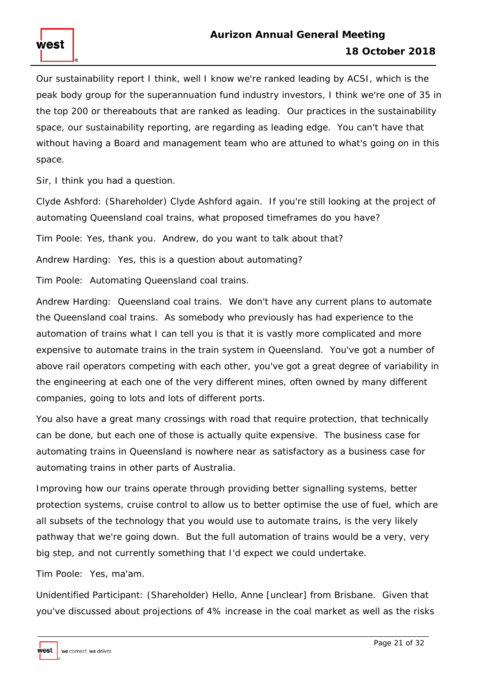Our sustainability report I think, well I know we're ranked leading by ACSI, which is the peak body group for the superannuation fund industry investors, I think we're one of 35 in the top 200 or thereabouts that are ranked as leading. Our practices in the sustainability space, our sustainability reporting, are regarding as leading edge. You can't have that without having a Board and management team who are attuned to what's going on in this space.

Sir, I think you had a question.

west

Clyde Ashford: (Shareholder) Clyde Ashford again. If you're still looking at the project of automating Queensland coal trains, what proposed timeframes do you have?

Tim Poole: Yes, thank you. Andrew, do you want to talk about that?

Andrew Harding: Yes, this is a question about automating?

Tim Poole: Automating Queensland coal trains.

Andrew Harding: Queensland coal trains. We don't have any current plans to automate the Queensland coal trains. As somebody who previously has had experience to the automation of trains what I can tell you is that it is vastly more complicated and more expensive to automate trains in the train system in Queensland. You've got a number of above rail operators competing with each other, you've got a great degree of variability in the engineering at each one of the very different mines, often owned by many different companies, going to lots and lots of different ports.

You also have a great many crossings with road that require protection, that technically can be done, but each one of those is actually quite expensive. The business case for automating trains in Queensland is nowhere near as satisfactory as a business case for automating trains in other parts of Australia.

Improving how our trains operate through providing better signalling systems, better protection systems, cruise control to allow us to better optimise the use of fuel, which are all subsets of the technology that you would use to automate trains, is the very likely pathway that we're going down. But the full automation of trains would be a very, very big step, and not currently something that I'd expect we could undertake.

Tim Poole: Yes, ma'am.

Unidentified Participant: (Shareholder) Hello, Anne [unclear] from Brisbane. Given that you've discussed about projections of 4% increase in the coal market as well as the risks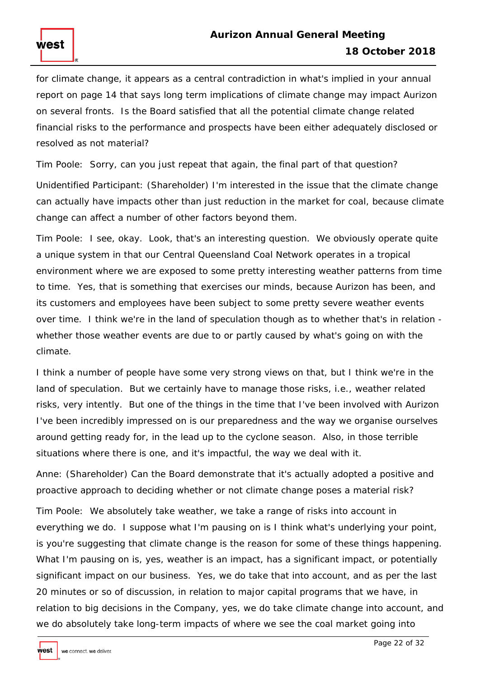for climate change, it appears as a central contradiction in what's implied in your annual report on page 14 that says long term implications of climate change may impact Aurizon on several fronts. Is the Board satisfied that all the potential climate change related financial risks to the performance and prospects have been either adequately disclosed or resolved as not material?

Tim Poole: Sorry, can you just repeat that again, the final part of that question?

Unidentified Participant: (Shareholder) I'm interested in the issue that the climate change can actually have impacts other than just reduction in the market for coal, because climate change can affect a number of other factors beyond them.

Tim Poole: I see, okay. Look, that's an interesting question. We obviously operate quite a unique system in that our Central Queensland Coal Network operates in a tropical environment where we are exposed to some pretty interesting weather patterns from time to time. Yes, that is something that exercises our minds, because Aurizon has been, and its customers and employees have been subject to some pretty severe weather events over time. I think we're in the land of speculation though as to whether that's in relation whether those weather events are due to or partly caused by what's going on with the climate.

I think a number of people have some very strong views on that, but I think we're in the land of speculation. But we certainly have to manage those risks, i.e., weather related risks, very intently. But one of the things in the time that I've been involved with Aurizon I've been incredibly impressed on is our preparedness and the way we organise ourselves around getting ready for, in the lead up to the cyclone season. Also, in those terrible situations where there is one, and it's impactful, the way we deal with it.

Anne: (Shareholder) Can the Board demonstrate that it's actually adopted a positive and proactive approach to deciding whether or not climate change poses a material risk?

Tim Poole: We absolutely take weather, we take a range of risks into account in everything we do. I suppose what I'm pausing on is I think what's underlying your point, is you're suggesting that climate change is the reason for some of these things happening. What I'm pausing on is, yes, weather is an impact, has a significant impact, or potentially significant impact on our business. Yes, we do take that into account, and as per the last 20 minutes or so of discussion, in relation to major capital programs that we have, in relation to big decisions in the Company, yes, we do take climate change into account, and we do absolutely take long-term impacts of where we see the coal market going into

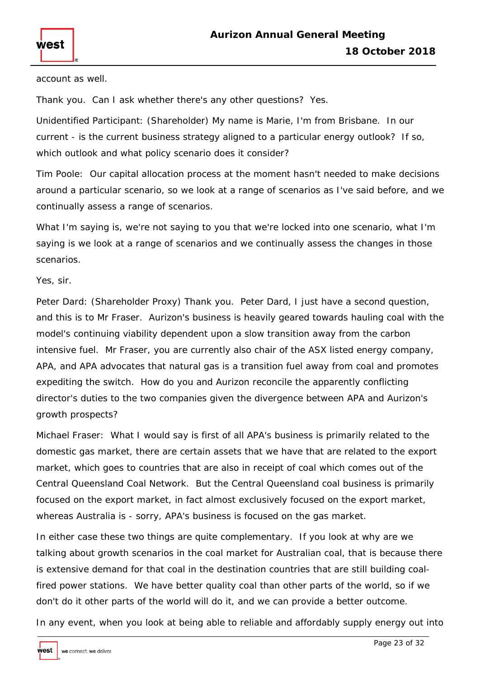

account as well.

Thank you. Can I ask whether there's any other questions? Yes.

Unidentified Participant: (Shareholder) My name is Marie, I'm from Brisbane. In our current - is the current business strategy aligned to a particular energy outlook? If so, which outlook and what policy scenario does it consider?

Tim Poole: Our capital allocation process at the moment hasn't needed to make decisions around a particular scenario, so we look at a range of scenarios as I've said before, and we continually assess a range of scenarios.

What I'm saying is, we're not saying to you that we're locked into one scenario, what I'm saying is we look at a range of scenarios and we continually assess the changes in those scenarios.

Yes, sir.

Peter Dard: (Shareholder Proxy) Thank you. Peter Dard, I just have a second question, and this is to Mr Fraser. Aurizon's business is heavily geared towards hauling coal with the model's continuing viability dependent upon a slow transition away from the carbon intensive fuel. Mr Fraser, you are currently also chair of the ASX listed energy company, APA, and APA advocates that natural gas is a transition fuel away from coal and promotes expediting the switch. How do you and Aurizon reconcile the apparently conflicting director's duties to the two companies given the divergence between APA and Aurizon's growth prospects?

Michael Fraser: What I would say is first of all APA's business is primarily related to the domestic gas market, there are certain assets that we have that are related to the export market, which goes to countries that are also in receipt of coal which comes out of the Central Queensland Coal Network. But the Central Queensland coal business is primarily focused on the export market, in fact almost exclusively focused on the export market, whereas Australia is - sorry, APA's business is focused on the gas market.

In either case these two things are quite complementary. If you look at why are we talking about growth scenarios in the coal market for Australian coal, that is because there is extensive demand for that coal in the destination countries that are still building coalfired power stations. We have better quality coal than other parts of the world, so if we don't do it other parts of the world will do it, and we can provide a better outcome.

In any event, when you look at being able to reliable and affordably supply energy out into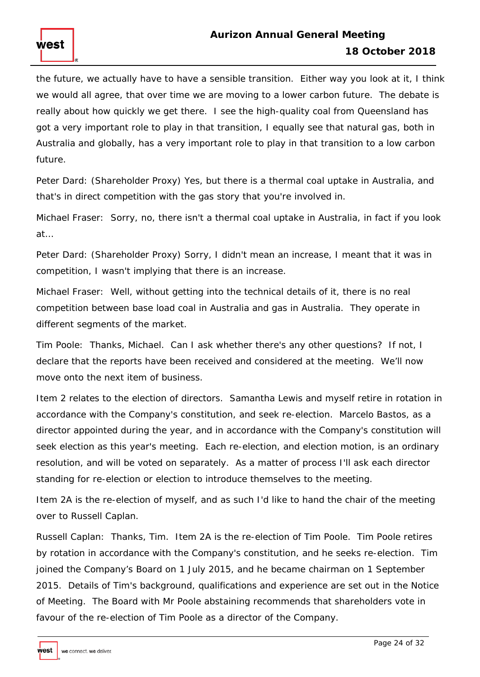the future, we actually have to have a sensible transition. Either way you look at it, I think we would all agree, that over time we are moving to a lower carbon future. The debate is really about how quickly we get there. I see the high-quality coal from Queensland has got a very important role to play in that transition, I equally see that natural gas, both in Australia and globally, has a very important role to play in that transition to a low carbon future.

Peter Dard: (Shareholder Proxy) Yes, but there is a thermal coal uptake in Australia, and that's in direct competition with the gas story that you're involved in.

Michael Fraser: Sorry, no, there isn't a thermal coal uptake in Australia, in fact if you look at…

Peter Dard: (Shareholder Proxy) Sorry, I didn't mean an increase, I meant that it was in competition, I wasn't implying that there is an increase.

Michael Fraser: Well, without getting into the technical details of it, there is no real competition between base load coal in Australia and gas in Australia. They operate in different segments of the market.

Tim Poole: Thanks, Michael. Can I ask whether there's any other questions? If not, I declare that the reports have been received and considered at the meeting. We'll now move onto the next item of business.

Item 2 relates to the election of directors. Samantha Lewis and myself retire in rotation in accordance with the Company's constitution, and seek re-election. Marcelo Bastos, as a director appointed during the year, and in accordance with the Company's constitution will seek election as this year's meeting. Each re-election, and election motion, is an ordinary resolution, and will be voted on separately. As a matter of process I'll ask each director standing for re-election or election to introduce themselves to the meeting.

Item 2A is the re-election of myself, and as such I'd like to hand the chair of the meeting over to Russell Caplan.

Russell Caplan: Thanks, Tim. Item 2A is the re-election of Tim Poole. Tim Poole retires by rotation in accordance with the Company's constitution, and he seeks re-election. Tim joined the Company's Board on 1 July 2015, and he became chairman on 1 September 2015. Details of Tim's background, qualifications and experience are set out in the Notice of Meeting. The Board with Mr Poole abstaining recommends that shareholders vote in favour of the re-election of Tim Poole as a director of the Company.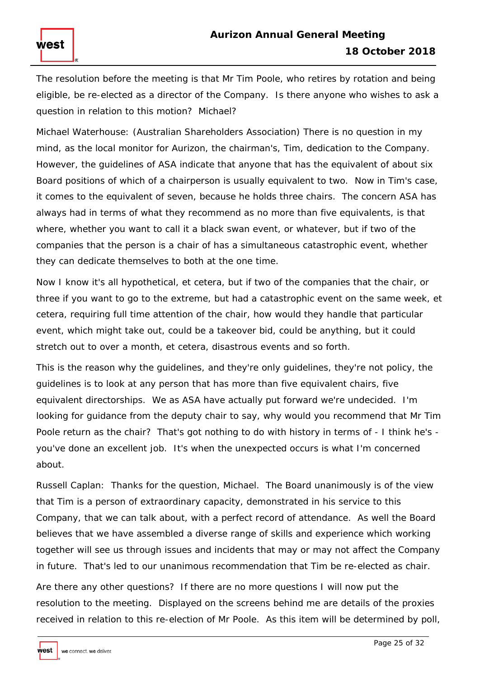The resolution before the meeting is that Mr Tim Poole, who retires by rotation and being eligible, be re-elected as a director of the Company. Is there anyone who wishes to ask a question in relation to this motion? Michael?

Michael Waterhouse: (Australian Shareholders Association) There is no question in my mind, as the local monitor for Aurizon, the chairman's, Tim, dedication to the Company. However, the guidelines of ASA indicate that anyone that has the equivalent of about six Board positions of which of a chairperson is usually equivalent to two. Now in Tim's case, it comes to the equivalent of seven, because he holds three chairs. The concern ASA has always had in terms of what they recommend as no more than five equivalents, is that where, whether you want to call it a black swan event, or whatever, but if two of the companies that the person is a chair of has a simultaneous catastrophic event, whether they can dedicate themselves to both at the one time.

Now I know it's all hypothetical, et cetera, but if two of the companies that the chair, or three if you want to go to the extreme, but had a catastrophic event on the same week, et cetera, requiring full time attention of the chair, how would they handle that particular event, which might take out, could be a takeover bid, could be anything, but it could stretch out to over a month, et cetera, disastrous events and so forth.

This is the reason why the guidelines, and they're only guidelines, they're not policy, the guidelines is to look at any person that has more than five equivalent chairs, five equivalent directorships. We as ASA have actually put forward we're undecided. I'm looking for guidance from the deputy chair to say, why would you recommend that Mr Tim Poole return as the chair? That's got nothing to do with history in terms of - I think he's you've done an excellent job. It's when the unexpected occurs is what I'm concerned about.

Russell Caplan: Thanks for the question, Michael. The Board unanimously is of the view that Tim is a person of extraordinary capacity, demonstrated in his service to this Company, that we can talk about, with a perfect record of attendance. As well the Board believes that we have assembled a diverse range of skills and experience which working together will see us through issues and incidents that may or may not affect the Company in future. That's led to our unanimous recommendation that Tim be re-elected as chair.

Are there any other questions? If there are no more questions I will now put the resolution to the meeting. Displayed on the screens behind me are details of the proxies received in relation to this re-election of Mr Poole. As this item will be determined by poll,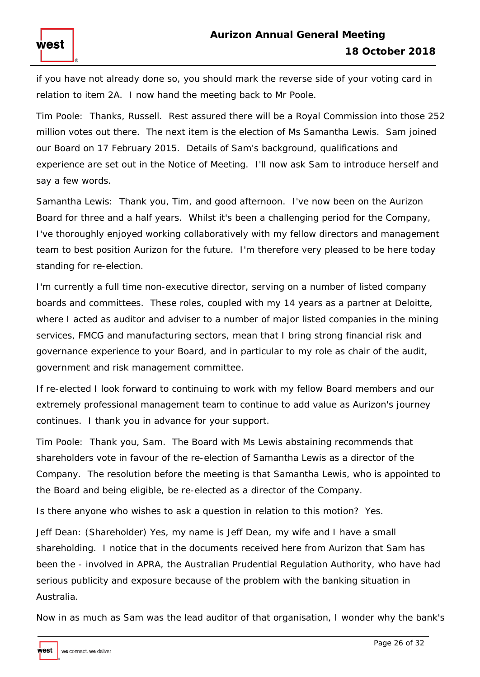if you have not already done so, you should mark the reverse side of your voting card in relation to item 2A. I now hand the meeting back to Mr Poole.

Tim Poole: Thanks, Russell. Rest assured there will be a Royal Commission into those 252 million votes out there. The next item is the election of Ms Samantha Lewis. Sam joined our Board on 17 February 2015. Details of Sam's background, qualifications and experience are set out in the Notice of Meeting. I'll now ask Sam to introduce herself and say a few words.

Samantha Lewis: Thank you, Tim, and good afternoon. I've now been on the Aurizon Board for three and a half years. Whilst it's been a challenging period for the Company, I've thoroughly enjoyed working collaboratively with my fellow directors and management team to best position Aurizon for the future. I'm therefore very pleased to be here today standing for re-election.

I'm currently a full time non-executive director, serving on a number of listed company boards and committees. These roles, coupled with my 14 years as a partner at Deloitte, where I acted as auditor and adviser to a number of major listed companies in the mining services, FMCG and manufacturing sectors, mean that I bring strong financial risk and governance experience to your Board, and in particular to my role as chair of the audit, government and risk management committee.

If re-elected I look forward to continuing to work with my fellow Board members and our extremely professional management team to continue to add value as Aurizon's journey continues. I thank you in advance for your support.

Tim Poole: Thank you, Sam. The Board with Ms Lewis abstaining recommends that shareholders vote in favour of the re-election of Samantha Lewis as a director of the Company. The resolution before the meeting is that Samantha Lewis, who is appointed to the Board and being eligible, be re-elected as a director of the Company.

Is there anyone who wishes to ask a question in relation to this motion? Yes.

Jeff Dean: (Shareholder) Yes, my name is Jeff Dean, my wife and I have a small shareholding. I notice that in the documents received here from Aurizon that Sam has been the - involved in APRA, the Australian Prudential Regulation Authority, who have had serious publicity and exposure because of the problem with the banking situation in Australia.

Now in as much as Sam was the lead auditor of that organisation, I wonder why the bank's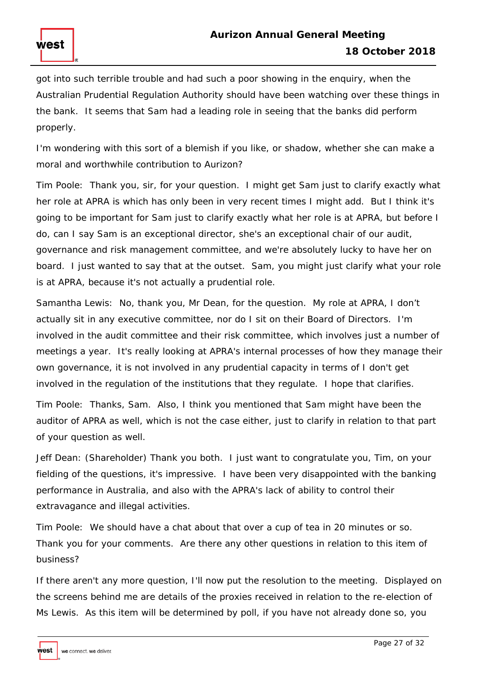got into such terrible trouble and had such a poor showing in the enquiry, when the Australian Prudential Regulation Authority should have been watching over these things in the bank. It seems that Sam had a leading role in seeing that the banks did perform properly.

I'm wondering with this sort of a blemish if you like, or shadow, whether she can make a moral and worthwhile contribution to Aurizon?

Tim Poole: Thank you, sir, for your question. I might get Sam just to clarify exactly what her role at APRA is which has only been in very recent times I might add. But I think it's going to be important for Sam just to clarify exactly what her role is at APRA, but before I do, can I say Sam is an exceptional director, she's an exceptional chair of our audit, governance and risk management committee, and we're absolutely lucky to have her on board. I just wanted to say that at the outset. Sam, you might just clarify what your role is at APRA, because it's not actually a prudential role.

Samantha Lewis: No, thank you, Mr Dean, for the question. My role at APRA, I don't actually sit in any executive committee, nor do I sit on their Board of Directors. I'm involved in the audit committee and their risk committee, which involves just a number of meetings a year. It's really looking at APRA's internal processes of how they manage their own governance, it is not involved in any prudential capacity in terms of I don't get involved in the regulation of the institutions that they regulate. I hope that clarifies.

Tim Poole: Thanks, Sam. Also, I think you mentioned that Sam might have been the auditor of APRA as well, which is not the case either, just to clarify in relation to that part of your question as well.

Jeff Dean: (Shareholder) Thank you both. I just want to congratulate you, Tim, on your fielding of the questions, it's impressive. I have been very disappointed with the banking performance in Australia, and also with the APRA's lack of ability to control their extravagance and illegal activities.

Tim Poole: We should have a chat about that over a cup of tea in 20 minutes or so. Thank you for your comments. Are there any other questions in relation to this item of business?

If there aren't any more question, I'll now put the resolution to the meeting. Displayed on the screens behind me are details of the proxies received in relation to the re-election of Ms Lewis. As this item will be determined by poll, if you have not already done so, you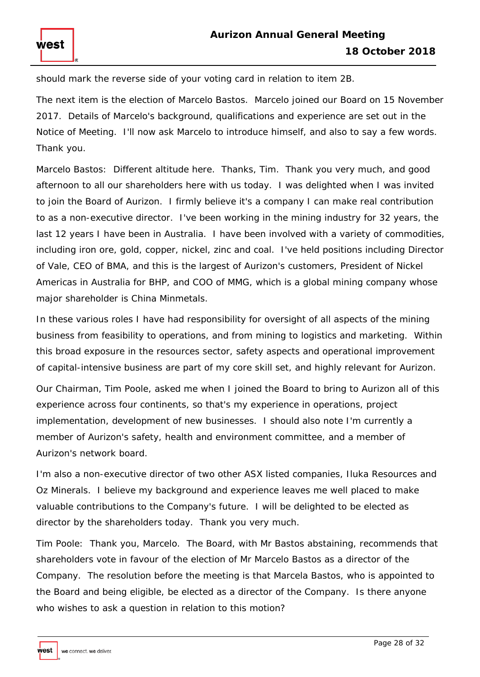should mark the reverse side of your voting card in relation to item 2B.

The next item is the election of Marcelo Bastos. Marcelo joined our Board on 15 November 2017. Details of Marcelo's background, qualifications and experience are set out in the Notice of Meeting. I'll now ask Marcelo to introduce himself, and also to say a few words. Thank you.

Marcelo Bastos: Different altitude here. Thanks, Tim. Thank you very much, and good afternoon to all our shareholders here with us today. I was delighted when I was invited to join the Board of Aurizon. I firmly believe it's a company I can make real contribution to as a non-executive director. I've been working in the mining industry for 32 years, the last 12 years I have been in Australia. I have been involved with a variety of commodities, including iron ore, gold, copper, nickel, zinc and coal. I've held positions including Director of Vale, CEO of BMA, and this is the largest of Aurizon's customers, President of Nickel Americas in Australia for BHP, and COO of MMG, which is a global mining company whose major shareholder is China Minmetals.

In these various roles I have had responsibility for oversight of all aspects of the mining business from feasibility to operations, and from mining to logistics and marketing. Within this broad exposure in the resources sector, safety aspects and operational improvement of capital-intensive business are part of my core skill set, and highly relevant for Aurizon.

Our Chairman, Tim Poole, asked me when I joined the Board to bring to Aurizon all of this experience across four continents, so that's my experience in operations, project implementation, development of new businesses. I should also note I'm currently a member of Aurizon's safety, health and environment committee, and a member of Aurizon's network board.

I'm also a non-executive director of two other ASX listed companies, Iluka Resources and Oz Minerals. I believe my background and experience leaves me well placed to make valuable contributions to the Company's future. I will be delighted to be elected as director by the shareholders today. Thank you very much.

Tim Poole: Thank you, Marcelo. The Board, with Mr Bastos abstaining, recommends that shareholders vote in favour of the election of Mr Marcelo Bastos as a director of the Company. The resolution before the meeting is that Marcela Bastos, who is appointed to the Board and being eligible, be elected as a director of the Company. Is there anyone who wishes to ask a question in relation to this motion?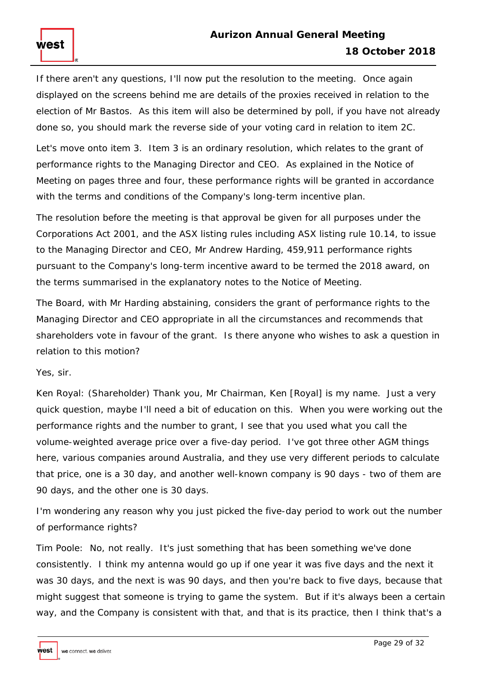If there aren't any questions, I'll now put the resolution to the meeting. Once again displayed on the screens behind me are details of the proxies received in relation to the election of Mr Bastos. As this item will also be determined by poll, if you have not already done so, you should mark the reverse side of your voting card in relation to item 2C.

Let's move onto item 3. Item 3 is an ordinary resolution, which relates to the grant of performance rights to the Managing Director and CEO. As explained in the Notice of Meeting on pages three and four, these performance rights will be granted in accordance with the terms and conditions of the Company's long-term incentive plan.

The resolution before the meeting is that approval be given for all purposes under the Corporations Act 2001, and the ASX listing rules including ASX listing rule 10.14, to issue to the Managing Director and CEO, Mr Andrew Harding, 459,911 performance rights pursuant to the Company's long-term incentive award to be termed the 2018 award, on the terms summarised in the explanatory notes to the Notice of Meeting.

The Board, with Mr Harding abstaining, considers the grant of performance rights to the Managing Director and CEO appropriate in all the circumstances and recommends that shareholders vote in favour of the grant. Is there anyone who wishes to ask a question in relation to this motion?

Yes, sir.

Ken Royal: (Shareholder) Thank you, Mr Chairman, Ken [Royal] is my name. Just a very quick question, maybe I'll need a bit of education on this. When you were working out the performance rights and the number to grant, I see that you used what you call the volume-weighted average price over a five-day period. I've got three other AGM things here, various companies around Australia, and they use very different periods to calculate that price, one is a 30 day, and another well-known company is 90 days - two of them are 90 days, and the other one is 30 days.

I'm wondering any reason why you just picked the five-day period to work out the number of performance rights?

Tim Poole: No, not really. It's just something that has been something we've done consistently. I think my antenna would go up if one year it was five days and the next it was 30 days, and the next is was 90 days, and then you're back to five days, because that might suggest that someone is trying to game the system. But if it's always been a certain way, and the Company is consistent with that, and that is its practice, then I think that's a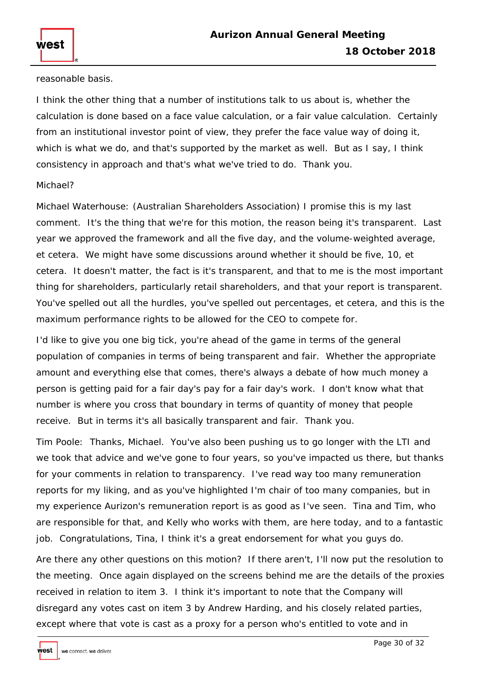reasonable basis.

west

I think the other thing that a number of institutions talk to us about is, whether the calculation is done based on a face value calculation, or a fair value calculation. Certainly from an institutional investor point of view, they prefer the face value way of doing it, which is what we do, and that's supported by the market as well. But as I say, I think consistency in approach and that's what we've tried to do. Thank you.

### Michael?

Michael Waterhouse: (Australian Shareholders Association) I promise this is my last comment. It's the thing that we're for this motion, the reason being it's transparent. Last year we approved the framework and all the five day, and the volume-weighted average, et cetera. We might have some discussions around whether it should be five, 10, et cetera. It doesn't matter, the fact is it's transparent, and that to me is the most important thing for shareholders, particularly retail shareholders, and that your report is transparent. You've spelled out all the hurdles, you've spelled out percentages, et cetera, and this is the maximum performance rights to be allowed for the CEO to compete for.

I'd like to give you one big tick, you're ahead of the game in terms of the general population of companies in terms of being transparent and fair. Whether the appropriate amount and everything else that comes, there's always a debate of how much money a person is getting paid for a fair day's pay for a fair day's work. I don't know what that number is where you cross that boundary in terms of quantity of money that people receive. But in terms it's all basically transparent and fair. Thank you.

Tim Poole: Thanks, Michael. You've also been pushing us to go longer with the LTI and we took that advice and we've gone to four years, so you've impacted us there, but thanks for your comments in relation to transparency. I've read way too many remuneration reports for my liking, and as you've highlighted I'm chair of too many companies, but in my experience Aurizon's remuneration report is as good as I've seen. Tina and Tim, who are responsible for that, and Kelly who works with them, are here today, and to a fantastic job. Congratulations, Tina, I think it's a great endorsement for what you guys do.

Are there any other questions on this motion? If there aren't, I'll now put the resolution to the meeting. Once again displayed on the screens behind me are the details of the proxies received in relation to item 3. I think it's important to note that the Company will disregard any votes cast on item 3 by Andrew Harding, and his closely related parties, except where that vote is cast as a proxy for a person who's entitled to vote and in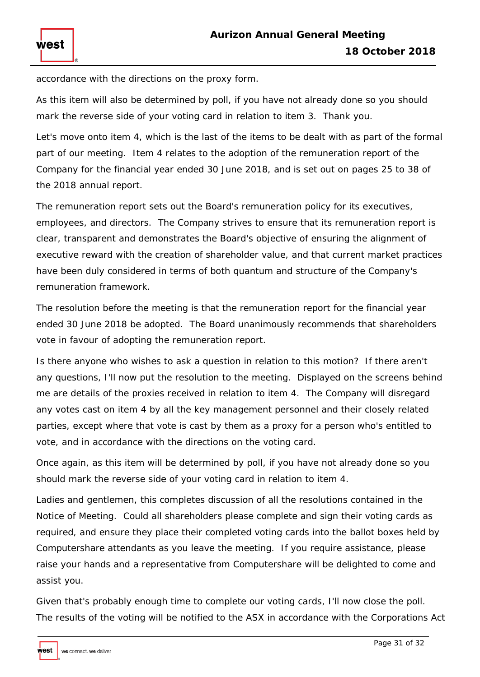accordance with the directions on the proxy form.

west

As this item will also be determined by poll, if you have not already done so you should mark the reverse side of your voting card in relation to item 3. Thank you.

Let's move onto item 4, which is the last of the items to be dealt with as part of the formal part of our meeting. Item 4 relates to the adoption of the remuneration report of the Company for the financial year ended 30 June 2018, and is set out on pages 25 to 38 of the 2018 annual report.

The remuneration report sets out the Board's remuneration policy for its executives, employees, and directors. The Company strives to ensure that its remuneration report is clear, transparent and demonstrates the Board's objective of ensuring the alignment of executive reward with the creation of shareholder value, and that current market practices have been duly considered in terms of both quantum and structure of the Company's remuneration framework.

The resolution before the meeting is that the remuneration report for the financial year ended 30 June 2018 be adopted. The Board unanimously recommends that shareholders vote in favour of adopting the remuneration report.

Is there anyone who wishes to ask a question in relation to this motion? If there aren't any questions, I'll now put the resolution to the meeting. Displayed on the screens behind me are details of the proxies received in relation to item 4. The Company will disregard any votes cast on item 4 by all the key management personnel and their closely related parties, except where that vote is cast by them as a proxy for a person who's entitled to vote, and in accordance with the directions on the voting card.

Once again, as this item will be determined by poll, if you have not already done so you should mark the reverse side of your voting card in relation to item 4.

Ladies and gentlemen, this completes discussion of all the resolutions contained in the Notice of Meeting. Could all shareholders please complete and sign their voting cards as required, and ensure they place their completed voting cards into the ballot boxes held by Computershare attendants as you leave the meeting. If you require assistance, please raise your hands and a representative from Computershare will be delighted to come and assist you.

Given that's probably enough time to complete our voting cards, I'll now close the poll. The results of the voting will be notified to the ASX in accordance with the Corporations Act